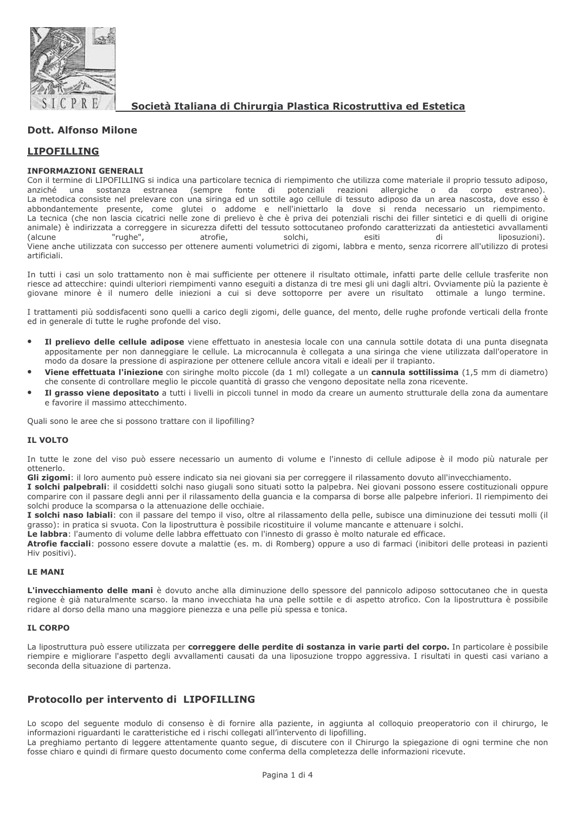

Società Italiana di Chirurgia Plastica Ricostruttiva ed Estetica

# **Dott. Alfonso Milone**

# **LIPOFILLING**

## **INFORMAZIONI GENERALI**

Con il termine di LIPOFILLING si indica una particolare tecnica di riempimento che utilizza come materiale il proprio tessuto adiposo, anziché  $\mathsf{u}$ na sostanza estranea (sempre fonte di potenziali reazioni allergiche o da corpo estraneo). La metodica consiste nel prelevare con una siringa ed un sottile ago cellule di tessuto adiposo da un area nascosta, dove esso è abbondantemente presente, come glutei o addome e nell'iniettarlo la dove si renda necessario un riempimento. La tecnica (che non lascia cicatrici nelle zone di prelievo è che è priva dei potenziali rischi dei filler sintetici e di quelli di origine animale) è indirizzata a correggere in sicurezza difetti del tessuto sottocutaneo profondo caratterizzati da antiestetici avvallamenti "rughe", di *(alcune* atrofie, solchi. esiti liposuzioni). Viene anche utilizzata con successo per ottenere aumenti volumetrici di zigomi, labbra e mento, senza ricorrere all'utilizzo di protesi artificiali.

In tutti i casi un solo trattamento non è mai sufficiente per ottenere il risultato ottimale, infatti parte delle cellule trasferite non riesce ad attecchire: quindi ulteriori riempimenti vanno esequiti a distanza di tre mesi gli uni dagli altri. Ovviamente più la paziente è giovane minore è il numero delle iniezioni a cui si deve sottoporre per avere un risultato ottimale a lungo termine.

I trattamenti più soddisfacenti sono quelli a carico degli zigomi, delle guance, del mento, delle rughe profonde verticali della fronte ed in generale di tutte le rughe profonde del viso.

- Il prelievo delle cellule adipose viene effettuato in anestesia locale con una cannula sottile dotata di una punta disegnata appositamente per non danneggiare le cellule. La microcannula è collegata a una siringa che viene utilizzata dall'operatore in modo da dosare la pressione di aspirazione per ottenere cellule ancora vitali e ideali per il trapianto.
- Viene effettuata l'iniezione con siringhe molto piccole (da 1 ml) collegate a un cannula sottilissima (1,5 mm di diametro) che consente di controllare meglio le piccole quantità di grasso che vengono depositate nella zona ricevente.
- Il grasso viene depositato a tutti i livelli in piccoli tunnel in modo da creare un aumento strutturale della zona da aumentare e favorire il massimo attecchimento.

Ouali sono le aree che si possono trattare con il lipofilling?

## **IL VOLTO**

In tutte le zone del viso può essere necessario un aumento di volume e l'innesto di cellule adipose è il modo più naturale per ottenerlo.

Gli zigomi: il loro aumento può essere indicato sia nei giovani sia per correggere il rilassamento dovuto all'invecchiamento.

I solchi palpebrali: il cosiddetti solchi naso giugali sono situati sotto la palpebra. Nei giovani possono essere costituzionali oppure comparire con il passare degli anni per il rilassamento della guancia e la comparsa di borse alle palpebre inferiori. Il riempimento dei solchi produce la scomparsa o la attenuazione delle occhiaie.

I solchi naso labiali: con il passare del tempo il viso, oltre al rilassamento della pelle, subisce una diminuzione dei tessuti molli (il grasso): in pratica si svuota. Con la lipostruttura è possibile ricostituire il volume mancante e attenuare i solchi.

Le labbra: l'aumento di volume delle labbra effettuato con l'innesto di grasso è molto naturale ed efficace.

Atrofie facciali: possono essere dovute a malattie (es. m. di Romberg) oppure a uso di farmaci (inibitori delle proteasi in pazienti Hiv positivi).

## **LE MANI**

L'invecchiamento delle mani è dovuto anche alla diminuzione dello spessore del pannicolo adiposo sottocutaneo che in questa regione è già naturalmente scarso. la mano invecchiata ha una pelle sottile e di aspetto atrofico. Con la lipostruttura è possibile ridare al dorso della mano una maggiore pienezza e una pelle più spessa e tonica.

# **IL CORPO**

La lipostruttura può essere utilizzata per correggere delle perdite di sostanza in varie parti del corpo. In particolare è possibile riempire e migliorare l'aspetto degli avvallamenti causati da una liposuzione troppo aggressiva. I risultati in questi casi variano a seconda della situazione di partenza.

# Protocollo per intervento di LIPOFILLING

Lo scopo del seguente modulo di consenso è di fornire alla paziente, in aggiunta al colloquio preoperatorio con il chirurgo, le informazioni riguardanti le caratteristiche ed i rischi collegati all'intervento di lipofilling.

La preghiamo pertanto di leggere attentamente quanto segue, di discutere con il Chirurgo la spiegazione di ogni termine che non fosse chiaro e quindi di firmare questo documento come conferma della completezza delle informazioni ricevute.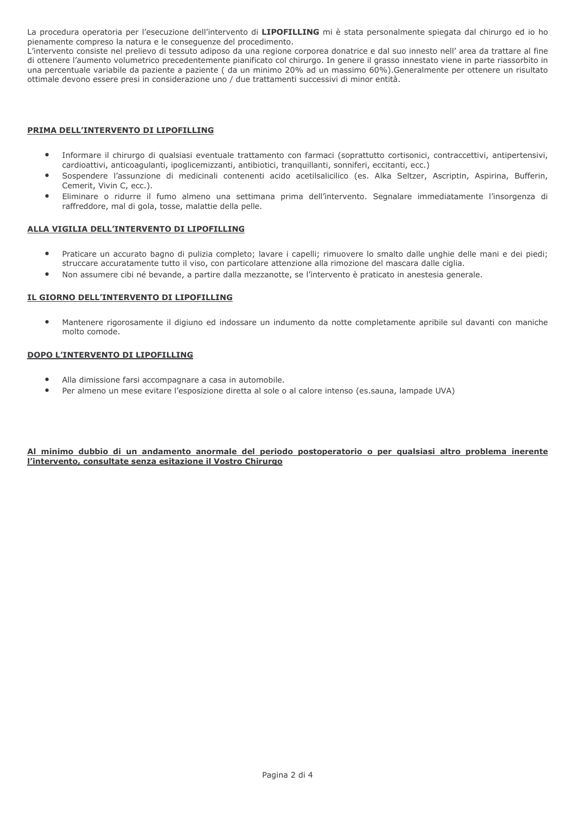La procedura operatoria per l'esecuzione dell'intervento di LIPOFILLING mi è stata personalmente spiegata dal chirurgo ed io ho pienamente compreso la natura e le conseguenze del procedimento.

L'intervento consiste nel prelievo di tessuto adiposo da una regione corporea donatrice e dal suo innesto nell'area da trattare al fine di ottenere l'aumento volumetrico precedentemente pianificato col chirurgo. In genere il grasso innestato viene in parte riassorbito in una percentuale variabile da paziente a paziente (da un minimo 20% ad un massimo 60%).Generalmente per ottenere un risultato ottimale devono essere presi in considerazione uno / due trattamenti successivi di minor entità.

### PRIMA DELL'INTERVENTO DI LIPOFILLING

- Informare il chirurgo di qualsiasi eventuale trattamento con farmaci (soprattutto cortisonici, contraccettivi, antipertensivi, cardioattivi, anticoaqulanti, ipoglicemizzanti, antibiotici, tranquillanti, sonniferi, eccitanti, ecc.)
- Sospendere l'assunzione di medicinali contenenti acido acetilsalicilico (es. Alka Seltzer, Ascriptin, Aspirina, Bufferin, Cemerit, Vivin C, ecc.).
- Eliminare o ridurre il fumo almeno una settimana prima dell'intervento. Segnalare immediatamente l'insorgenza di raffreddore, mal di gola, tosse, malattie della pelle.

#### ALLA VIGILIA DELL'INTERVENTO DI LIPOFILLING

- Praticare un accurato bagno di pulizia completo; lavare i capelli; rimuovere lo smalto dalle unghie delle mani e dei piedi;  $\bullet$ struccare accuratamente tutto il viso, con particolare attenzione alla rimozione del mascara dalle ciglia.
- Non assumere cibi né bevande, a partire dalla mezzanotte, se l'intervento è praticato in anestesia generale.

#### IL GIORNO DELL'INTERVENTO DI LIPOFILLING

Mantenere rigorosamente il digiuno ed indossare un indumento da notte completamente apribile sul davanti con maniche molto comode.

#### DOPO L'INTERVENTO DI LIPOFILLING

- Alla dimissione farsi accompagnare a casa in automobile.
- Per almeno un mese evitare l'esposizione diretta al sole o al calore intenso (es.sauna, lampade UVA)

## Al minimo dubbio di un andamento anormale del periodo postoperatorio o per qualsiasi altro problema inerente l'intervento, consultate senza esitazione il Vostro Chirurgo